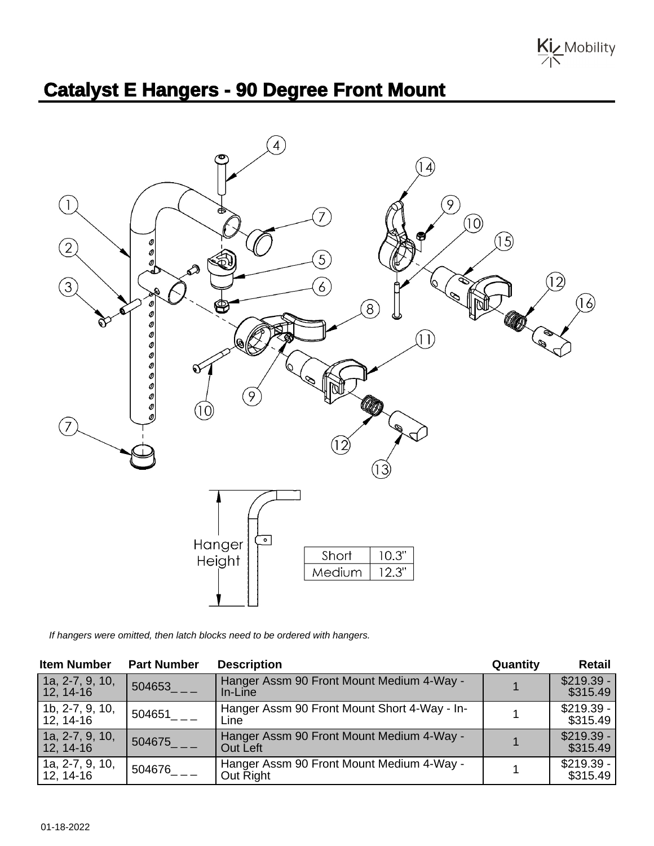

## **Catalyst E Hangers - 90 Degree Front Mount**



If hangers were omitted, then latch blocks need to be ordered with hangers.

| <b>Item Number</b>             | <b>Part Number</b>       | <b>Description</b>                                     | Quantity | <b>Retail</b>           |
|--------------------------------|--------------------------|--------------------------------------------------------|----------|-------------------------|
| 1a, 2-7, 9, 10,<br>$12, 14-16$ | 1504653                  | Hanger Assm 90 Front Mount Medium 4-Way -<br>In-Line   |          | $$219.39 -$<br>\$315.49 |
| 1b, 2-7, 9, 10,<br>12, 14-16   | $.504651$ <sub>___</sub> | Hanger Assm 90 Front Mount Short 4-Way - In-<br>Line   |          | $$219.39 -$<br>\$315.49 |
| 1a, 2-7, 9, 10,<br>$12, 14-16$ | 504675                   | Hanger Assm 90 Front Mount Medium 4-Way -<br>Out Left  |          | $$219.39 -$<br>\$315.49 |
| 1a, 2-7, 9, 10,<br>$12, 14-16$ | $.504676$ <sub>___</sub> | Hanger Assm 90 Front Mount Medium 4-Way -<br>Out Right |          | $$219.39 -$<br>\$315.49 |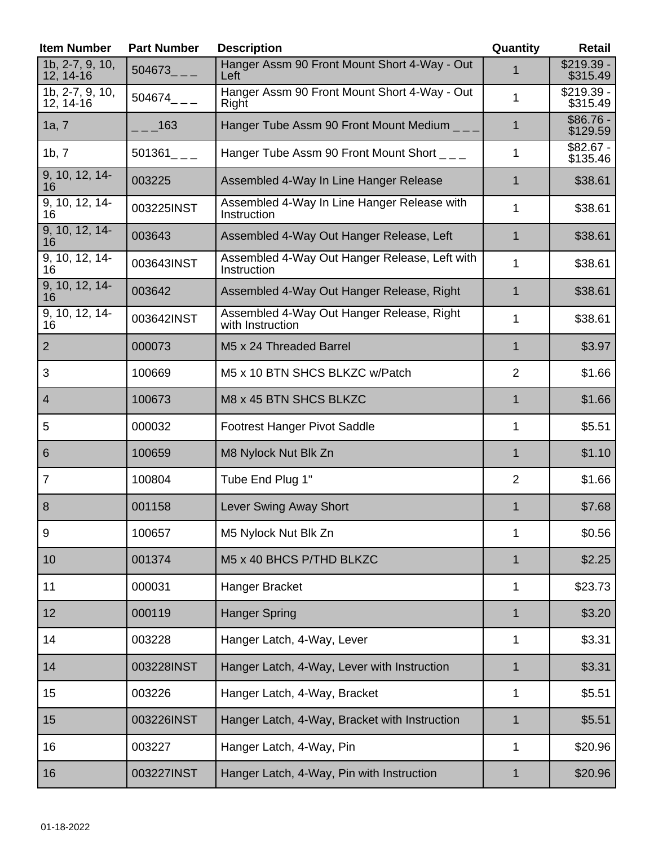| <b>Item Number</b>               | <b>Part Number</b>      | <b>Description</b>                                            | Quantity       | <b>Retail</b>           |
|----------------------------------|-------------------------|---------------------------------------------------------------|----------------|-------------------------|
| 1b, 2-7, 9, 10,<br>12, 14-16     | $504673$ <sub>---</sub> | Hanger Assm 90 Front Mount Short 4-Way - Out<br>Left          | 1              | $$219.39 -$<br>\$315.49 |
| 1b, 2-7, 9, 10,<br>12, 14-16     | $504674$ <sub>--</sub>  | Hanger Assm 90 Front Mount Short 4-Way - Out<br>Right         | $\mathbf{1}$   | $$219.39 -$<br>\$315.49 |
| 1a, 7                            | 163                     | Hanger Tube Assm 90 Front Mount Medium _ _ _                  | 1              | $$86.76 -$<br>\$129.59  |
| 1b, 7                            | $501361$ <sub>--</sub>  | Hanger Tube Assm 90 Front Mount Short ___                     | 1              | $$82.67 -$<br>\$135.46  |
| 9, 10, 12, 14-<br>16             | 003225                  | Assembled 4-Way In Line Hanger Release                        | $\mathbf 1$    | \$38.61                 |
| $\overline{9, 10, 12, 14}$<br>16 | 003225INST              | Assembled 4-Way In Line Hanger Release with<br>Instruction    | 1              | \$38.61                 |
| 9, 10, 12, 14-<br>16             | 003643                  | Assembled 4-Way Out Hanger Release, Left                      | $\mathbf 1$    | \$38.61                 |
| 9, 10, 12, 14-<br>16             | 003643INST              | Assembled 4-Way Out Hanger Release, Left with<br>Instruction  | 1              | \$38.61                 |
| 9, 10, 12, 14-<br>16             | 003642                  | Assembled 4-Way Out Hanger Release, Right                     | 1              | \$38.61                 |
| 9, 10, 12, 14-<br>16             | 003642INST              | Assembled 4-Way Out Hanger Release, Right<br>with Instruction | 1              | \$38.61                 |
| $\overline{2}$                   | 000073                  | M5 x 24 Threaded Barrel                                       | $\mathbf 1$    | \$3.97                  |
| 3                                | 100669                  | M5 x 10 BTN SHCS BLKZC w/Patch                                | $\overline{2}$ | \$1.66                  |
| $\overline{4}$                   | 100673                  | M8 x 45 BTN SHCS BLKZC                                        | 1              | \$1.66                  |
| 5                                | 000032                  | Footrest Hanger Pivot Saddle                                  | 1              | \$5.51                  |
| 6                                | 100659                  | M8 Nylock Nut Blk Zn                                          | 1              | \$1.10                  |
| $\overline{7}$                   | 100804                  | Tube End Plug 1"                                              | $\overline{2}$ | \$1.66                  |
| 8                                | 001158                  | <b>Lever Swing Away Short</b>                                 | $\mathbf{1}$   | \$7.68                  |
| $9\,$                            | 100657                  | M5 Nylock Nut Blk Zn                                          | $\mathbf 1$    | \$0.56                  |
| 10                               | 001374                  | M5 x 40 BHCS P/THD BLKZC                                      | 1              | \$2.25                  |
| 11                               | 000031                  | Hanger Bracket                                                | 1              | \$23.73                 |
| 12                               | 000119                  | <b>Hanger Spring</b>                                          | 1              | \$3.20                  |
| 14                               | 003228                  | Hanger Latch, 4-Way, Lever                                    | 1              | \$3.31                  |
| 14                               | 003228INST              | Hanger Latch, 4-Way, Lever with Instruction                   | $\mathbf 1$    | \$3.31                  |
| 15                               | 003226                  | Hanger Latch, 4-Way, Bracket                                  | $\mathbf{1}$   | \$5.51                  |
| 15                               | 003226INST              | Hanger Latch, 4-Way, Bracket with Instruction                 | $\mathbf 1$    | \$5.51                  |
| 16                               | 003227                  | Hanger Latch, 4-Way, Pin                                      | 1              | \$20.96                 |
| 16                               | 003227INST              | Hanger Latch, 4-Way, Pin with Instruction                     | $\mathbf 1$    | \$20.96                 |